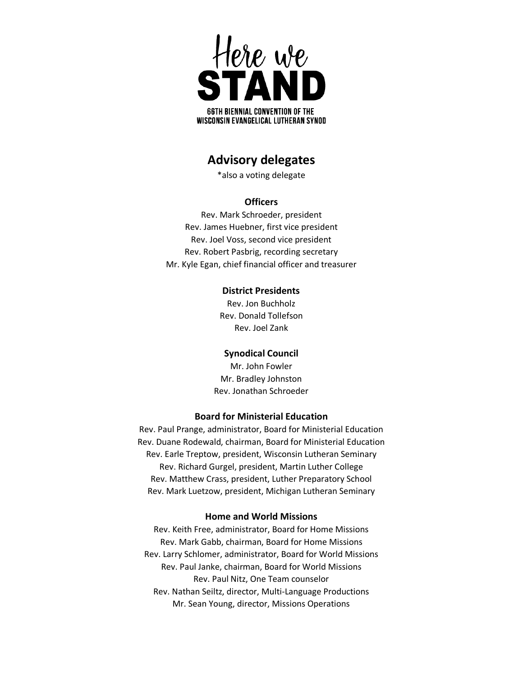

# **Advisory delegates**

\*also a voting delegate

# **Officers**

Rev. Mark Schroeder, president Rev. James Huebner, first vice president Rev. Joel Voss, second vice president Rev. Robert Pasbrig, recording secretary Mr. Kyle Egan, chief financial officer and treasurer

## **District Presidents**

Rev. Jon Buchholz Rev. Donald Tollefson Rev. Joel Zank

# **Synodical Council**

Mr. John Fowler Mr. Bradley Johnston Rev. Jonathan Schroeder

## **Board for Ministerial Education**

Rev. Paul Prange, administrator, Board for Ministerial Education Rev. Duane Rodewald, chairman, Board for Ministerial Education Rev. Earle Treptow, president, Wisconsin Lutheran Seminary Rev. Richard Gurgel, president, Martin Luther College Rev. Matthew Crass, president, Luther Preparatory School Rev. Mark Luetzow, president, Michigan Lutheran Seminary

#### **Home and World Missions**

Rev. Keith Free, administrator, Board for Home Missions Rev. Mark Gabb, chairman, Board for Home Missions Rev. Larry Schlomer, administrator, Board for World Missions Rev. Paul Janke, chairman, Board for World Missions Rev. Paul Nitz, One Team counselor Rev. Nathan Seiltz, director, Multi-Language Productions Mr. Sean Young, director, Missions Operations